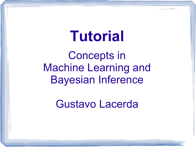# **Tutorial**

Concepts in Machine Learning and Bayesian Inference

Gustavo Lacerda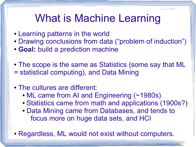## What is Machine Learning

- Learning patterns in the world
- Drawing conclusions from data ("problem of induction")
- **Goal:** build a prediction machine
- The scope is the same as Statistics (some say that ML = statistical computing), and Data Mining

#### • The cultures are different:

- ML came from AI and Engineering (~1980s)
- Statistics came from math and applications (1900s?)
- Data Mining came from Databases, and tends to focus more on huge data sets, and HCI
- Regardless, ML would not exist without computers.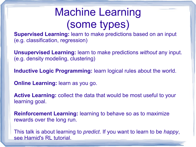# Machine Learning (some types)

**Supervised Learning:** learn to make predictions based on an input (e.g. classification, regression)

**Unsupervised Learning:** learn to make predictions *without* any input. (e.g. density modeling, clustering)

**Inductive Logic Programming:** learn logical rules about the world.

**Online Learning:** learn as you go.

**Active Learning:** collect the data that would be most useful to your learning goal.

**Reinforcement Learning:** learning to behave so as to maximize rewards over the long run.

This talk is about learning to *predict*. If you want to learn to be *happy*, see Hamid's RL tutorial.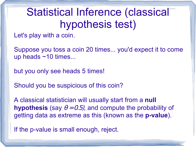# Statistical Inference (classical hypothesis test)

Let's play with a coin.

Suppose you toss a coin 20 times... you'd expect it to come up heads ~10 times...

but you only see heads 5 times!

Should you be suspicious of this coin?

A classical statistician will usually start from a **null hypothesis** (say  $\theta = 0.5$ ), and compute the probability of getting data as extreme as this (known as the **p-value**).

If the p-value is small enough, reject.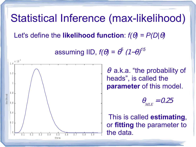### Statistical Inference (max-likelihood)

Let's define the **likelihood function**:  $f(\theta) = P(D|\theta)$ 

assuming IID,  $f(\theta) = \theta^5$  $(1-\theta)$ *15*



 $\theta$  a.k.a. "the probability of heads", is called the **parameter** of this model.

$$
\theta_{\text{MLE}} = 0.25
$$

 This is called **estimating**, or **fitting** the parameter to the data.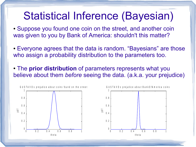### Statistical Inference (Bayesian)

- Suppose you found one coin on the street, and another coin was given to you by Bank of America: shouldn't this matter?
- Everyone agrees that the data is random. "Bayesians" are those who assign a probability distribution to the parameters too.
- The **prior distribution** of parameters represents what you believe about them *before* seeing the data. (a.k.a. your prejudice)

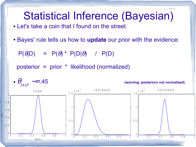### Statistical Inference (Bayesian)

- Let's take a coin that I found on the street.
- Bayes' rule tells us how to **update** our prior with the evidence:

 $P(\theta|D) = P(\theta) * P(D|\theta) / P(D)$ 

posterior = prior \* likelihood (normalized)

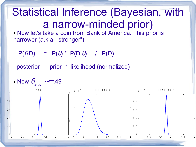# Statistical Inference (Bayesian, with a narrow-minded prior)

• Now let's take a coin from Bank of America. This prior is narrower (a.k.a. "stronger").

 $P(\theta|D) = P(\theta) * P(D|\theta) / P(D)$ 

posterior = prior \* likelihood (normalized)

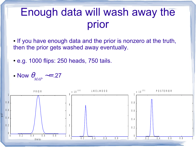### Enough data will wash away the prior

- If you have enough data and the prior is nonzero at the truth, then the prior gets washed away eventually.
- e.g. 1000 flips: 250 heads, 750 tails.
- Now  $\theta_{\scriptscriptstyle \!\! \!\!}$ *MAP* ∼= .27

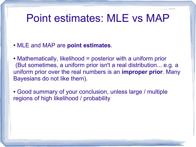### Point estimates: MLE vs MAP

- MLE and MAP are **point estimates**.
- $\bullet$  Mathematically, likelihood = posterior with a uniform prior (But sometimes, a uniform prior isn't a real distribution... e.g. a uniform prior over the real numbers is an **improper prior**. Many Bayesians do not like them).
- Good summary of your conclusion, unless large / multiple regions of high likelihood / probability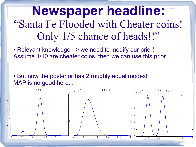**Newspaper headline:** "Santa Fe Flooded with Cheater coins! Only 1/5 chance of heads!!"

- Relevant knowledge => we need to modify our prior! Assume 1/10 are cheater coins, then we can use this prior.
- But now the posterior has 2 roughly equal modes! MAP is no good here...

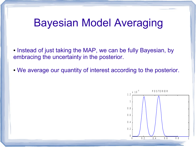### Bayesian Model Averaging

- Instead of just taking the MAP, we can be fully Bayesian, by embracing the uncertainty in the posterior.
- We average our quantity of interest according to the posterior.

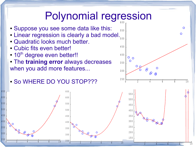#### Polynomial regression 6 0 0

- Suppose you see some data like this:
- Linear regression is clearly a bad model.
- Quadratic looks much better.
- Cubic fits even better!
- $\cdot$  10<sup>th</sup> degree even better!!
- The **training error** always decreases when you add more features...

• So WHERE DO YOU STOP???



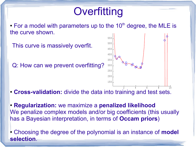# **Overfitting**

 $\cdot$  For a model with parameters up to the 10<sup>th</sup> degree, the MLE is the curve shown.

This curve is massively overfit. Q: How can we prevent overfitting? <sup>2</sup> <sup>4</sup> <sup>6</sup> <sup>8</sup> 1 0 1 5 0 2 0 0 2 5 0 3 0 0 3 5 0 4 0 0 4 5 0 5 0 0 5 5 0

• **Cross-validation:** divide the data into training and test sets.

● **Regularization:** we maximize a **penalized likelihood** We penalize complex models and/or big coefficients (this usually has a Bayesian interpretation, in terms of **Occam priors**)

● Choosing the degree of the polynomial is an instance of **model selection**.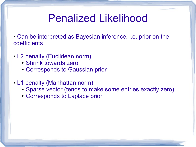### Penalized Likelihood

• Can be interpreted as Bayesian inference, i.e. prior on the coefficients

- L2 penalty (Euclidean norm):
	- Shrink towards zero
	- Corresponds to Gaussian prior
- L1 penalty (Manhattan norm):
	- Sparse vector (tends to make some entries exactly zero)
	- Corresponds to Laplace prior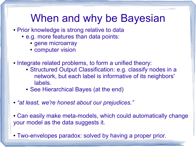### When and why be Bayesian

- Prior knowledge is strong relative to data
	- e.g. more features than data points:
		- gene microarray
		- computer vision
- Integrate related problems, to form a unified theory:
	- Structured Output Classification: e.g. classify nodes in a network, but each label is informative of its neighbors' labels.
	- See Hierarchical Bayes (at the end)
- *"at least, we're honest about our prejudices."*
- Can easily make meta-models, which could automatically change your model as the data suggests it.
- Two-envelopes paradox: solved by having a proper prior.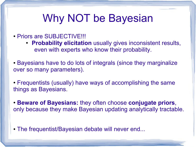# Why NOT be Bayesian

- Priors are SUBJECTIVE!!!
	- **Probability elicitation** usually gives inconsistent results, even with experts who know their probability.
- Bayesians have to do lots of integrals (since they marginalize over so many parameters).
- Frequentists (usually) have ways of accomplishing the same things as Bayesians.
- **Beware of Bayesians:** they often choose **conjugate priors**, only because they make Bayesian updating analytically tractable.
- The frequentist/Bayesian debate will never end...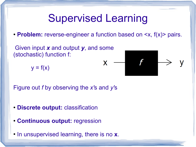### Supervised Learning

• **Problem:** reverse-engineer a function based on  $\leq x$ ,  $f(x)$  pairs.

X

Given input *x* and output *y*, and some (stochastic) function f:

$$
y = f(x)
$$



Figure out *f* by observing the *x'*s and *y'*s

- **Discrete output:** classification
- **Continuous output:** regression
- In unsupervised learning, there is no **x**.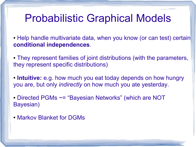### Probabilistic Graphical Models

- Help handle multivariate data, when you know (or can test) certain **conditional independences**.
- They represent families of joint distributions (with the parameters, they represent specific distributions)
- **Intuitive:** e.g. how much you eat today depends on how hungry you are, but only *indirectly* on how much you ate yesterday.
- Directed PGMs ~= "Bayesian Networks" (which are NOT Bayesian)
- Markov Blanket for DGMs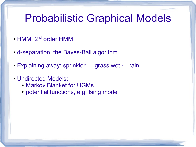### Probabilistic Graphical Models

- HMM, 2<sup>nd</sup> order HMM
- d-separation, the Bayes-Ball algorithm
- Explaining away: sprinkler  $\rightarrow$  grass wet  $\leftarrow$  rain
- Undirected Models:
	- Markov Blanket for UGMs.
	- potential functions, e.g. Ising model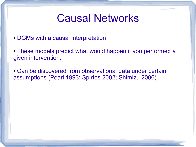### Causal Networks

- DGMs with a causal interpretation
- These models predict what would happen if you performed a given intervention.
- Can be discovered from observational data under certain assumptions (Pearl 1993; Spirtes 2002; Shimizu 2006)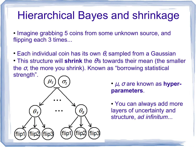### Hierarchical Bayes and shrinkage

• Imagine grabbing 5 coins from some unknown source, and flipping each 3 times...

- Each individual coin has its own  $\theta$ , sampled from a Gaussian
- This structure will shrink the θ's towards their mean (the smaller the  $\sigma$ , the more you shrink). Known as "borrowing statistical strength".

l



- *μ*, *σ* are known as **hyperparameters**.
- You can always add more layers of uncertainty and structure, *ad infinitum*...